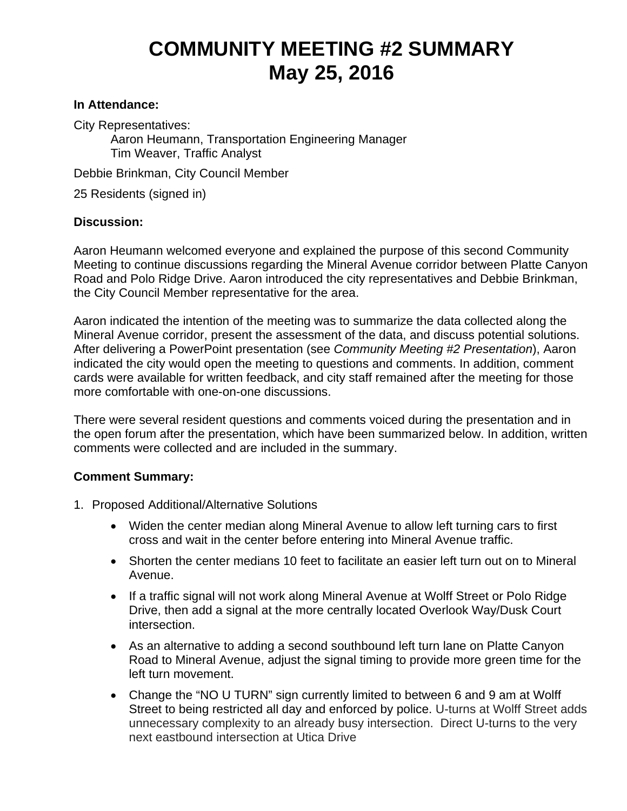## **COMMUNITY MEETING #2 SUMMARY May 25, 2016**

## **In Attendance:**

City Representatives:

Aaron Heumann, Transportation Engineering Manager Tim Weaver, Traffic Analyst

Debbie Brinkman, City Council Member

25 Residents (signed in)

## **Discussion:**

Aaron Heumann welcomed everyone and explained the purpose of this second Community Meeting to continue discussions regarding the Mineral Avenue corridor between Platte Canyon Road and Polo Ridge Drive. Aaron introduced the city representatives and Debbie Brinkman, the City Council Member representative for the area.

Aaron indicated the intention of the meeting was to summarize the data collected along the Mineral Avenue corridor, present the assessment of the data, and discuss potential solutions. After delivering a PowerPoint presentation (see *Community Meeting #2 Presentation*), Aaron indicated the city would open the meeting to questions and comments. In addition, comment cards were available for written feedback, and city staff remained after the meeting for those more comfortable with one-on-one discussions.

There were several resident questions and comments voiced during the presentation and in the open forum after the presentation, which have been summarized below. In addition, written comments were collected and are included in the summary.

## **Comment Summary:**

- 1. Proposed Additional/Alternative Solutions
	- Widen the center median along Mineral Avenue to allow left turning cars to first cross and wait in the center before entering into Mineral Avenue traffic.
	- Shorten the center medians 10 feet to facilitate an easier left turn out on to Mineral Avenue.
	- If a traffic signal will not work along Mineral Avenue at Wolff Street or Polo Ridge Drive, then add a signal at the more centrally located Overlook Way/Dusk Court intersection.
	- As an alternative to adding a second southbound left turn lane on Platte Canyon Road to Mineral Avenue, adjust the signal timing to provide more green time for the left turn movement.
	- Change the "NO U TURN" sign currently limited to between 6 and 9 am at Wolff Street to being restricted all day and enforced by police. U-turns at Wolff Street adds unnecessary complexity to an already busy intersection. Direct U-turns to the very next eastbound intersection at Utica Drive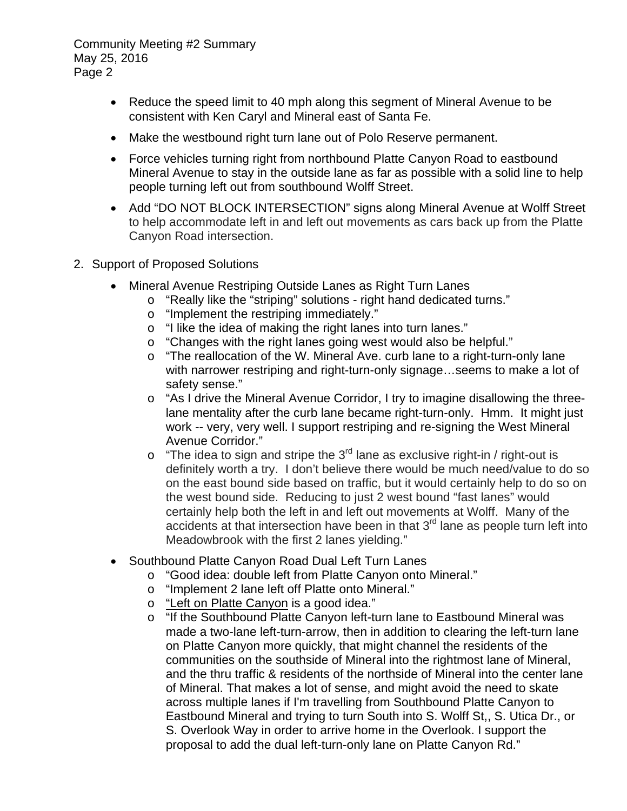- Reduce the speed limit to 40 mph along this segment of Mineral Avenue to be consistent with Ken Caryl and Mineral east of Santa Fe.
- Make the westbound right turn lane out of Polo Reserve permanent.
- Force vehicles turning right from northbound Platte Canyon Road to eastbound Mineral Avenue to stay in the outside lane as far as possible with a solid line to help people turning left out from southbound Wolff Street.
- Add "DO NOT BLOCK INTERSECTION" signs along Mineral Avenue at Wolff Street to help accommodate left in and left out movements as cars back up from the Platte Canyon Road intersection.
- 2. Support of Proposed Solutions
	- Mineral Avenue Restriping Outside Lanes as Right Turn Lanes
		- o "Really like the "striping" solutions right hand dedicated turns."
			- o "Implement the restriping immediately."
			- o "I like the idea of making the right lanes into turn lanes."
			- o "Changes with the right lanes going west would also be helpful."
			- o "The reallocation of the W. Mineral Ave. curb lane to a right-turn-only lane with narrower restriping and right-turn-only signage…seems to make a lot of safety sense."
			- o "As I drive the Mineral Avenue Corridor, I try to imagine disallowing the threelane mentality after the curb lane became right-turn-only. Hmm. It might just work -- very, very well. I support restriping and re-signing the West Mineral Avenue Corridor."
			- $\circ$  "The idea to sign and stripe the 3<sup>rd</sup> lane as exclusive right-in / right-out is definitely worth a try. I don't believe there would be much need/value to do so on the east bound side based on traffic, but it would certainly help to do so on the west bound side. Reducing to just 2 west bound "fast lanes" would certainly help both the left in and left out movements at Wolff. Many of the  $accidents$  at that intersection have been in that  $3<sup>rd</sup>$  lane as people turn left into Meadowbrook with the first 2 lanes yielding."
	- Southbound Platte Canyon Road Dual Left Turn Lanes
		- o "Good idea: double left from Platte Canyon onto Mineral."
		- o "Implement 2 lane left off Platte onto Mineral."
		- o "Left on Platte Canyon is a good idea."
		- o "If the Southbound Platte Canyon left-turn lane to Eastbound Mineral was made a two-lane left-turn-arrow, then in addition to clearing the left-turn lane on Platte Canyon more quickly, that might channel the residents of the communities on the southside of Mineral into the rightmost lane of Mineral, and the thru traffic & residents of the northside of Mineral into the center lane of Mineral. That makes a lot of sense, and might avoid the need to skate across multiple lanes if I'm travelling from Southbound Platte Canyon to Eastbound Mineral and trying to turn South into S. Wolff St,, S. Utica Dr., or S. Overlook Way in order to arrive home in the Overlook. I support the proposal to add the dual left-turn-only lane on Platte Canyon Rd."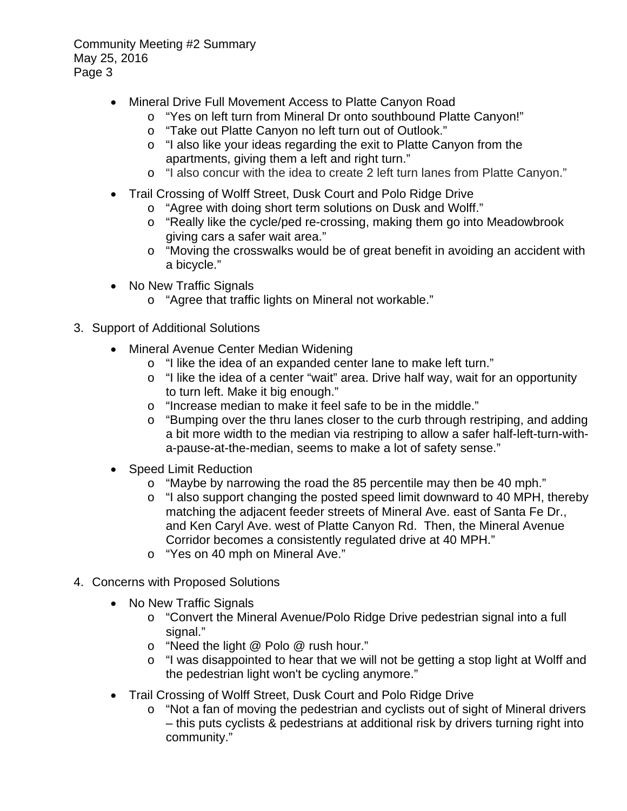- Mineral Drive Full Movement Access to Platte Canyon Road
	- o "Yes on left turn from Mineral Dr onto southbound Platte Canyon!"
	- o "Take out Platte Canyon no left turn out of Outlook."
	- o "I also like your ideas regarding the exit to Platte Canyon from the apartments, giving them a left and right turn."
	- o "I also concur with the idea to create 2 left turn lanes from Platte Canyon."
- Trail Crossing of Wolff Street, Dusk Court and Polo Ridge Drive
	- o "Agree with doing short term solutions on Dusk and Wolff."
	- o "Really like the cycle/ped re-crossing, making them go into Meadowbrook giving cars a safer wait area."
	- o "Moving the crosswalks would be of great benefit in avoiding an accident with a bicycle."
- No New Traffic Signals
	- o "Agree that traffic lights on Mineral not workable."
- 3. Support of Additional Solutions
	- Mineral Avenue Center Median Widening
		- o "I like the idea of an expanded center lane to make left turn."
		- o "I like the idea of a center "wait" area. Drive half way, wait for an opportunity to turn left. Make it big enough."
		- o "Increase median to make it feel safe to be in the middle."
		- $\circ$  "Bumping over the thru lanes closer to the curb through restriping, and adding a bit more width to the median via restriping to allow a safer half-left-turn-witha-pause-at-the-median, seems to make a lot of safety sense."
	- Speed Limit Reduction
		- $\circ$  "Maybe by narrowing the road the 85 percentile may then be 40 mph."
		- o "I also support changing the posted speed limit downward to 40 MPH, thereby matching the adjacent feeder streets of Mineral Ave. east of Santa Fe Dr., and Ken Caryl Ave. west of Platte Canyon Rd. Then, the Mineral Avenue Corridor becomes a consistently regulated drive at 40 MPH."
		- o "Yes on 40 mph on Mineral Ave."
- 4. Concerns with Proposed Solutions
	- No New Traffic Signals
		- o "Convert the Mineral Avenue/Polo Ridge Drive pedestrian signal into a full signal."
		- o "Need the light @ Polo @ rush hour."
		- o "I was disappointed to hear that we will not be getting a stop light at Wolff and the pedestrian light won't be cycling anymore."
	- Trail Crossing of Wolff Street, Dusk Court and Polo Ridge Drive
		- o "Not a fan of moving the pedestrian and cyclists out of sight of Mineral drivers – this puts cyclists & pedestrians at additional risk by drivers turning right into community."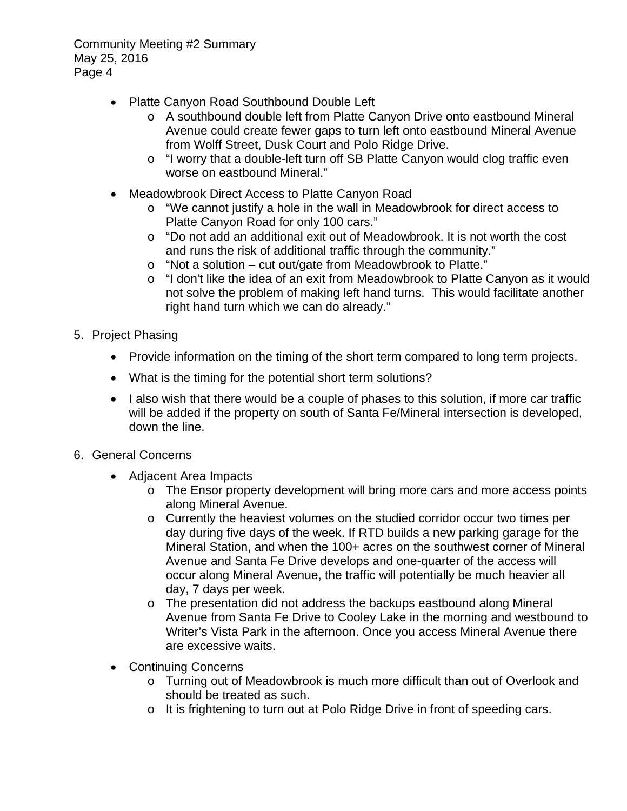- Platte Canyon Road Southbound Double Left
	- o A southbound double left from Platte Canyon Drive onto eastbound Mineral Avenue could create fewer gaps to turn left onto eastbound Mineral Avenue from Wolff Street, Dusk Court and Polo Ridge Drive.
	- o "I worry that a double-left turn off SB Platte Canyon would clog traffic even worse on eastbound Mineral."
- Meadowbrook Direct Access to Platte Canyon Road
	- o "We cannot justify a hole in the wall in Meadowbrook for direct access to Platte Canyon Road for only 100 cars."
	- o "Do not add an additional exit out of Meadowbrook. It is not worth the cost and runs the risk of additional traffic through the community."
	- o "Not a solution cut out/gate from Meadowbrook to Platte."
	- o "I don't like the idea of an exit from Meadowbrook to Platte Canyon as it would not solve the problem of making left hand turns. This would facilitate another right hand turn which we can do already."
- 5. Project Phasing
	- Provide information on the timing of the short term compared to long term projects.
	- What is the timing for the potential short term solutions?
	- I also wish that there would be a couple of phases to this solution, if more car traffic will be added if the property on south of Santa Fe/Mineral intersection is developed, down the line.
- 6. General Concerns
	- Adjacent Area Impacts
		- o The Ensor property development will bring more cars and more access points along Mineral Avenue.
		- o Currently the heaviest volumes on the studied corridor occur two times per day during five days of the week. If RTD builds a new parking garage for the Mineral Station, and when the 100+ acres on the southwest corner of Mineral Avenue and Santa Fe Drive develops and one-quarter of the access will occur along Mineral Avenue, the traffic will potentially be much heavier all day, 7 days per week.
		- o The presentation did not address the backups eastbound along Mineral Avenue from Santa Fe Drive to Cooley Lake in the morning and westbound to Writer's Vista Park in the afternoon. Once you access Mineral Avenue there are excessive waits.
	- Continuing Concerns
		- o Turning out of Meadowbrook is much more difficult than out of Overlook and should be treated as such.
		- o It is frightening to turn out at Polo Ridge Drive in front of speeding cars.